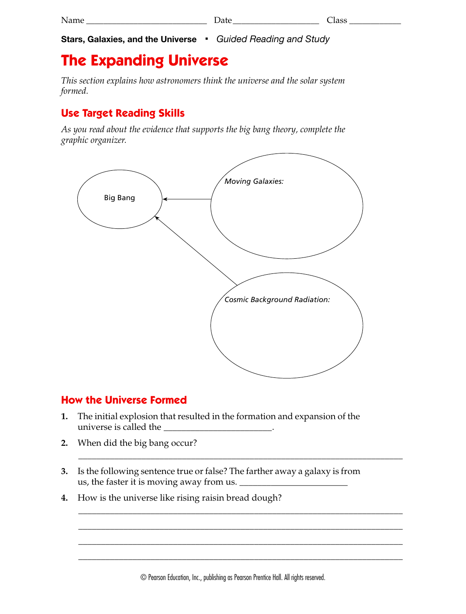**Stars, Galaxies, and the Universe** ■ *Guided Reading and Study*

# **The Expanding Universe**

*This section explains how astronomers think the universe and the solar system formed.*

## **Use Target Reading Skills**

*As you read about the evidence that supports the big bang theory, complete the graphic organizer.*



### **How the Universe Formed**

- **1.** The initial explosion that resulted in the formation and expansion of the universe is called the
- **2.** When did the big bang occur?
- **3.** Is the following sentence true or false? The farther away a galaxy is from us, the faster it is moving away from us. \_\_\_\_\_\_\_\_\_\_\_\_\_\_\_\_\_\_\_\_\_\_\_\_
- **4.** How is the universe like rising raisin bread dough?

\_\_\_\_\_\_\_\_\_\_\_\_\_\_\_\_\_\_\_\_\_\_\_\_\_\_\_\_\_\_\_\_\_\_\_\_\_\_\_\_\_\_\_\_\_\_\_\_\_\_\_\_\_\_\_\_\_\_\_\_\_\_\_\_\_\_\_\_\_\_\_\_

\_\_\_\_\_\_\_\_\_\_\_\_\_\_\_\_\_\_\_\_\_\_\_\_\_\_\_\_\_\_\_\_\_\_\_\_\_\_\_\_\_\_\_\_\_\_\_\_\_\_\_\_\_\_\_\_\_\_\_\_\_\_\_\_\_\_\_\_\_\_\_\_ \_\_\_\_\_\_\_\_\_\_\_\_\_\_\_\_\_\_\_\_\_\_\_\_\_\_\_\_\_\_\_\_\_\_\_\_\_\_\_\_\_\_\_\_\_\_\_\_\_\_\_\_\_\_\_\_\_\_\_\_\_\_\_\_\_\_\_\_\_\_\_\_ \_\_\_\_\_\_\_\_\_\_\_\_\_\_\_\_\_\_\_\_\_\_\_\_\_\_\_\_\_\_\_\_\_\_\_\_\_\_\_\_\_\_\_\_\_\_\_\_\_\_\_\_\_\_\_\_\_\_\_\_\_\_\_\_\_\_\_\_\_\_\_\_ \_\_\_\_\_\_\_\_\_\_\_\_\_\_\_\_\_\_\_\_\_\_\_\_\_\_\_\_\_\_\_\_\_\_\_\_\_\_\_\_\_\_\_\_\_\_\_\_\_\_\_\_\_\_\_\_\_\_\_\_\_\_\_\_\_\_\_\_\_\_\_\_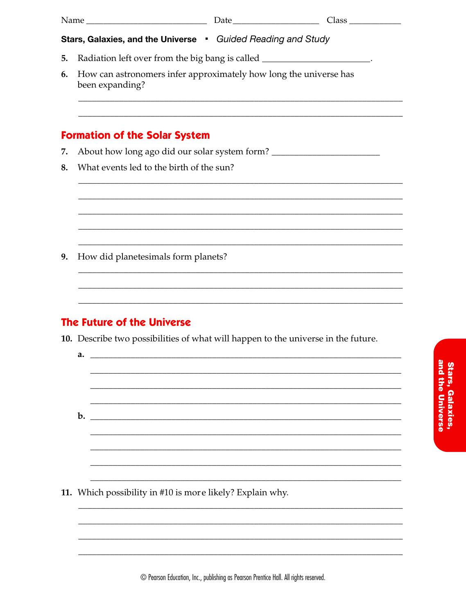| Stars, Galaxies, and the Universe • Guided Reading and Study                                                                                        |                                                                                      |  |  |  |
|-----------------------------------------------------------------------------------------------------------------------------------------------------|--------------------------------------------------------------------------------------|--|--|--|
| 5.                                                                                                                                                  | Radiation left over from the big bang is called ______________________.              |  |  |  |
| 6.                                                                                                                                                  | How can astronomers infer approximately how long the universe has<br>been expanding? |  |  |  |
|                                                                                                                                                     | <b>Formation of the Solar System</b>                                                 |  |  |  |
| 7.                                                                                                                                                  | About how long ago did our solar system form? ___________________________________    |  |  |  |
| 8.                                                                                                                                                  | What events led to the birth of the sun?                                             |  |  |  |
|                                                                                                                                                     |                                                                                      |  |  |  |
| 9.                                                                                                                                                  | How did planetesimals form planets?                                                  |  |  |  |
|                                                                                                                                                     |                                                                                      |  |  |  |
| <u> 1989 - Johann Stoff, deutscher Stoff, der Stoff, der Stoff, der Stoff, der Stoff, der Stoff, der Stoff, der S</u><br>The Future of the Universe |                                                                                      |  |  |  |
|                                                                                                                                                     | 10. Describe two possibilities of what will happen to the universe in the future.    |  |  |  |
|                                                                                                                                                     | a.                                                                                   |  |  |  |
|                                                                                                                                                     | $b$ .                                                                                |  |  |  |
|                                                                                                                                                     |                                                                                      |  |  |  |
|                                                                                                                                                     | 11. Which possibility in #10 is more likely? Explain why.                            |  |  |  |
|                                                                                                                                                     |                                                                                      |  |  |  |

**Stars, Galaxies,<br>and the Universe**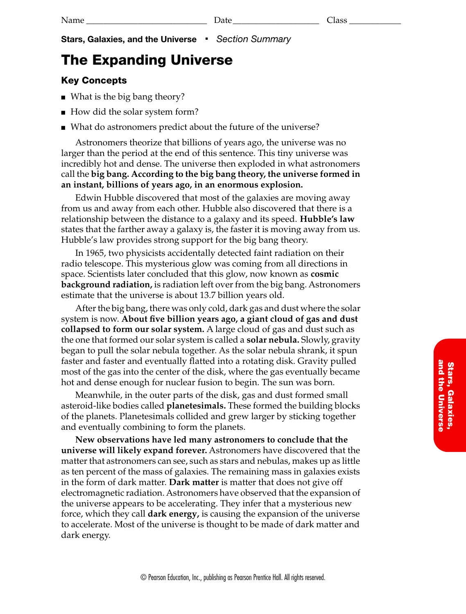**Stars, Galaxies, and the Universe** ■ *Section Summary*

## **The Expanding Universe**

#### **Key Concepts**

- What is the big bang theory?
- How did the solar system form?
- What do astronomers predict about the future of the universe?

Astronomers theorize that billions of years ago, the universe was no larger than the period at the end of this sentence. This tiny universe was incredibly hot and dense. The universe then exploded in what astronomers call the **big bang. According to the big bang theory, the universe formed in an instant, billions of years ago, in an enormous explosion.**

Edwin Hubble discovered that most of the galaxies are moving away from us and away from each other. Hubble also discovered that there is a relationship between the distance to a galaxy and its speed. **Hubble's law** states that the farther away a galaxy is, the faster it is moving away from us. Hubble's law provides strong support for the big bang theory.

In 1965, two physicists accidentally detected faint radiation on their radio telescope. This mysterious glow was coming from all directions in space. Scientists later concluded that this glow, now known as **cosmic background radiation,** is radiation left over from the big bang. Astronomers estimate that the universe is about 13.7 billion years old.

After the big bang, there was only cold, dark gas and dust where the solar system is now. **About five billion years ago, a giant cloud of gas and dust collapsed to form our solar system.** A large cloud of gas and dust such as the one that formed our solar system is called a **solar nebula.** Slowly, gravity began to pull the solar nebula together. As the solar nebula shrank, it spun faster and faster and eventually flatted into a rotating disk. Gravity pulled most of the gas into the center of the disk, where the gas eventually became hot and dense enough for nuclear fusion to begin. The sun was born.

Meanwhile, in the outer parts of the disk, gas and dust formed small asteroid-like bodies called **planetesimals.** These formed the building blocks of the planets. Planetesimals collided and grew larger by sticking together and eventually combining to form the planets.

**New observations have led many astronomers to conclude that the universe will likely expand forever.** Astronomers have discovered that the matter that astronomers can see, such as stars and nebulas, makes up as little as ten percent of the mass of galaxies. The remaining mass in galaxies exists in the form of dark matter. **Dark matter** is matter that does not give off electromagnetic radiation. Astronomers have observed that the expansion of the universe appears to be accelerating. They infer that a mysterious new force, which they call **dark energy,** is causing the expansion of the universe to accelerate. Most of the universe is thought to be made of dark matter and dark energy.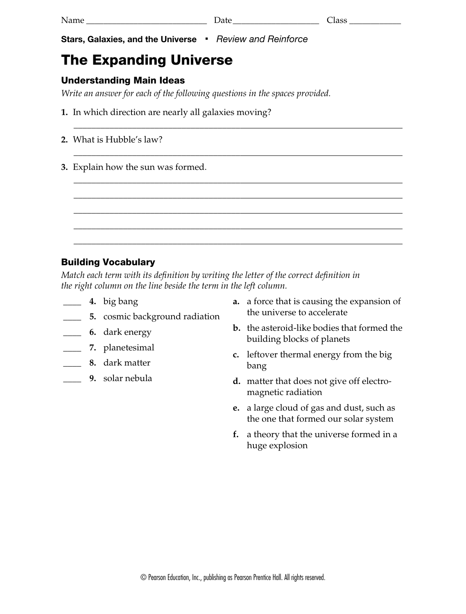Name \_\_\_\_\_\_\_\_\_\_\_\_\_\_\_\_\_\_\_\_\_\_\_\_\_\_\_\_ Date\_\_\_\_\_\_\_\_\_\_\_\_\_\_\_\_\_\_\_\_ Class \_\_\_\_\_\_\_\_\_\_\_\_

\_\_\_\_\_\_\_\_\_\_\_\_\_\_\_\_\_\_\_\_\_\_\_\_\_\_\_\_\_\_\_\_\_\_\_\_\_\_\_\_\_\_\_\_\_\_\_\_\_\_\_\_\_\_\_\_\_\_\_\_\_\_\_\_\_\_\_\_\_\_\_\_\_

\_\_\_\_\_\_\_\_\_\_\_\_\_\_\_\_\_\_\_\_\_\_\_\_\_\_\_\_\_\_\_\_\_\_\_\_\_\_\_\_\_\_\_\_\_\_\_\_\_\_\_\_\_\_\_\_\_\_\_\_\_\_\_\_\_\_\_\_\_\_\_\_\_

\_\_\_\_\_\_\_\_\_\_\_\_\_\_\_\_\_\_\_\_\_\_\_\_\_\_\_\_\_\_\_\_\_\_\_\_\_\_\_\_\_\_\_\_\_\_\_\_\_\_\_\_\_\_\_\_\_\_\_\_\_\_\_\_\_\_\_\_\_\_\_\_\_ \_\_\_\_\_\_\_\_\_\_\_\_\_\_\_\_\_\_\_\_\_\_\_\_\_\_\_\_\_\_\_\_\_\_\_\_\_\_\_\_\_\_\_\_\_\_\_\_\_\_\_\_\_\_\_\_\_\_\_\_\_\_\_\_\_\_\_\_\_\_\_\_\_ \_\_\_\_\_\_\_\_\_\_\_\_\_\_\_\_\_\_\_\_\_\_\_\_\_\_\_\_\_\_\_\_\_\_\_\_\_\_\_\_\_\_\_\_\_\_\_\_\_\_\_\_\_\_\_\_\_\_\_\_\_\_\_\_\_\_\_\_\_\_\_\_\_ \_\_\_\_\_\_\_\_\_\_\_\_\_\_\_\_\_\_\_\_\_\_\_\_\_\_\_\_\_\_\_\_\_\_\_\_\_\_\_\_\_\_\_\_\_\_\_\_\_\_\_\_\_\_\_\_\_\_\_\_\_\_\_\_\_\_\_\_\_\_\_\_\_ \_\_\_\_\_\_\_\_\_\_\_\_\_\_\_\_\_\_\_\_\_\_\_\_\_\_\_\_\_\_\_\_\_\_\_\_\_\_\_\_\_\_\_\_\_\_\_\_\_\_\_\_\_\_\_\_\_\_\_\_\_\_\_\_\_\_\_\_\_\_\_\_\_

**Stars, Galaxies, and the Universe** ■ *Review and Reinforce*

# **The Expanding Universe**

### **Understanding Main Ideas**

*Write an answer for each of the following questions in the spaces provided.*

- **1.** In which direction are nearly all galaxies moving?
- **2.** What is Hubble's law?
- **3.** Explain how the sun was formed.

### **Building Vocabulary**

*Match each term with its definition by writing the letter of the correct definition in the right column on the line beside the term in the left column.* 

- **\_\_\_\_ 4.** big bang
- **\_\_\_\_ 5.** cosmic background radiation
- **\_\_\_\_ 6.** dark energy
- **\_\_\_\_ 7.** planetesimal
- **\_\_\_\_ 8.** dark matter
- **\_\_\_\_ 9.** solar nebula
- **a.** a force that is causing the expansion of the universe to accelerate
- **b.** the asteroid-like bodies that formed the building blocks of planets
- **c.** leftover thermal energy from the big bang
- **d.** matter that does not give off electromagnetic radiation
- **e.** a large cloud of gas and dust, such as the one that formed our solar system
- **f.** a theory that the universe formed in a huge explosion